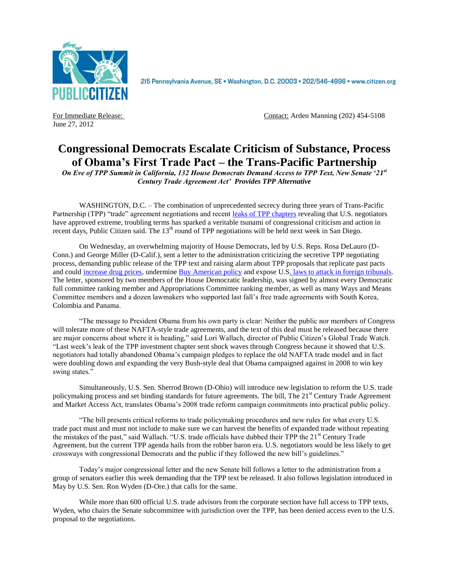

215 Pennsylvania Avenue, SE · Washington, D.C. 20003 · 202/546-4996 · www.citizen.org

June 27, 2012

For Immediate Release: Contact: Arden Manning (202) 454-5108

## **Congressional Democrats Escalate Criticism of Substance, Process of Obama's First Trade Pact – the Trans-Pacific Partnership**

*On Eve of TPP Summit in California, 132 House Democrats Demand Access to TPP Text, New Senate '21 st Century Trade Agreement Act' Provides TPP Alternative*

WASHINGTON, D.C. – The combination of unprecedented secrecy during three years of Trans-Pacific Partnership (TPP) "trade" agreement negotiations and recent [leaks of TPP chapters](http://bit.ly/NlBtlk) revealing that U.S. negotiators have approved extreme, troubling terms has sparked a veritable tsunami of congressional criticism and action in recent days, Public Citizen said. The  $13<sup>th</sup>$  round of TPP negotiations will be held next week in San Diego.

On Wednesday, an overwhelming majority of House Democrats, led by U.S. Reps. Rosa DeLauro (D-Conn.) and George Miller (D-Calif.), sent a letter to the administration criticizing the secretive TPP negotiating process, demanding public release of the TPP text and raising alarm about TPP proposals that replicate past pacts and coul[d increase drug prices,](http://bit.ly/MDkC73) undermine [Buy American policy](http://bit.ly/KO5aWT) and expose U.S. [laws to attack in foreign tribunals.](http://bit.ly/KO6wB6) The letter, sponsored by two members of the House Democratic leadership, was signed by almost every Democratic full committee ranking member and Appropriations Committee ranking member, as well as many Ways and Means Committee members and a dozen lawmakers who supported last fall's free trade agreements with South Korea, Colombia and Panama.

"The message to President Obama from his own party is clear: Neither the public nor members of Congress will tolerate more of these NAFTA-style trade agreements, and the text of this deal must be released because there are major concerns about where it is heading," said Lori Wallach, director of Public Citizen's Global Trade Watch. "Last week's leak of the TPP investment chapter sent shock waves through Congress because it showed that U.S. negotiators had totally abandoned Obama's campaign pledges to replace the old NAFTA trade model and in fact were doubling down and expanding the very Bush-style deal that Obama campaigned against in 2008 to win key swing states."

Simultaneously, U.S. Sen. Sherrod Brown (D-Ohio) will introduce new legislation to reform the U.S. trade policymaking process and set binding standards for future agreements. The bill, The  $21<sup>st</sup>$  Century Trade Agreement and Market Access Act, translates Obama's 2008 trade reform campaign commitments into practical public policy.

"The bill presents critical reforms to trade policymaking procedures and new rules for what every U.S. trade pact must and must not include to make sure we can harvest the benefits of expanded trade without repeating the mistakes of the past," said Wallach. "U.S. trade officials have dubbed their TPP the 21<sup>st</sup> Century Trade Agreement, but the current TPP agenda hails from the robber baron era. U.S. negotiators would be less likely to get crossways with congressional Democrats and the public if they followed the new bill's guidelines."

Today's major congressional letter and the new Senate bill follows a letter to the administration from a group of senators earlier this week demanding that the TPP text be released. It also follows legislation introduced in May by U.S. Sen. Ron Wyden (D-Ore.) that calls for the same.

While more than 600 official U.S. trade advisors from the corporate section have full access to TPP texts, Wyden, who chairs the Senate subcommittee with jurisdiction over the TPP, has been denied access even to the U.S. proposal to the negotiations.